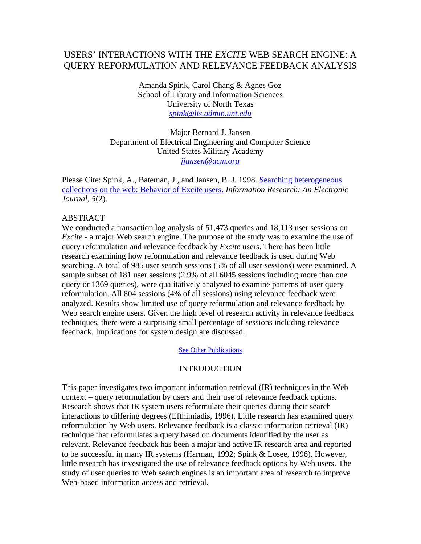# USERS' INTERACTIONS WITH THE *EXCITE* WEB SEARCH ENGINE: A QUERY REFORMULATION AND RELEVANCE FEEDBACK ANALYSIS

Amanda Spink, Carol Chang & Agnes Goz School of Library and Information Sciences University of North Texas *spink@lis.admin.unt.edu*

Major Bernard J. Jansen Department of Electrical Engineering and Computer Science United States Military Academy *jjansen@acm.org*

Please Cite: Spink, A., Bateman, J., and Jansen, B. J. 1998. Searching heterogeneous collections on the web: Behavior of Excite users. *Information Research: An Electronic Journal*, *5*(2).

#### **ABSTRACT**

We conducted a transaction log analysis of 51,473 queries and 18,113 user sessions on *Excite -* a major Web search engine. The purpose of the study was to examine the use of query reformulation and relevance feedback by *Excite* users. There has been little research examining how reformulation and relevance feedback is used during Web searching. A total of 985 user search sessions (5% of all user sessions) were examined. A sample subset of 181 user sessions (2.9% of all 6045 sessions including more than one query or 1369 queries), were qualitatively analyzed to examine patterns of user query reformulation. All 804 sessions (4% of all sessions) using relevance feedback were analyzed. Results show limited use of query reformulation and relevance feedback by Web search engine users. Given the high level of research activity in relevance feedback techniques, there were a surprising small percentage of sessions including relevance feedback. Implications for system design are discussed.

See Other Publications

### INTRODUCTION

This paper investigates two important information retrieval (IR) techniques in the Web context – query reformulation by users and their use of relevance feedback options. Research shows that IR system users reformulate their queries during their search interactions to differing degrees (Efthimiadis, 1996). Little research has examined query reformulation by Web users. Relevance feedback is a classic information retrieval (IR) technique that reformulates a query based on documents identified by the user as relevant. Relevance feedback has been a major and active IR research area and reported to be successful in many IR systems (Harman, 1992; Spink & Losee, 1996). However, little research has investigated the use of relevance feedback options by Web users. The study of user queries to Web search engines is an important area of research to improve Web-based information access and retrieval.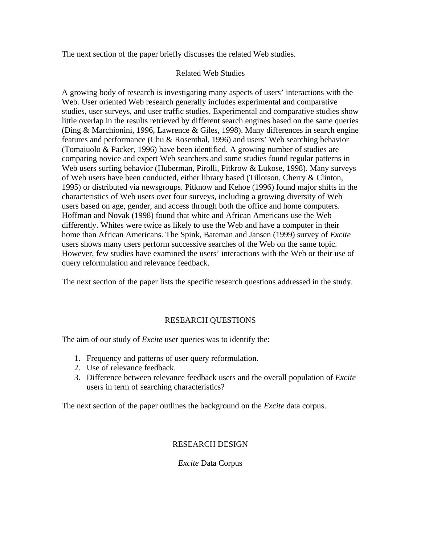The next section of the paper briefly discusses the related Web studies.

## Related Web Studies

A growing body of research is investigating many aspects of users' interactions with the Web. User oriented Web research generally includes experimental and comparative studies, user surveys, and user traffic studies. Experimental and comparative studies show little overlap in the results retrieved by different search engines based on the same queries (Ding & Marchionini, 1996, Lawrence & Giles, 1998). Many differences in search engine features and performance (Chu & Rosenthal, 1996) and users' Web searching behavior (Tomaiuolo & Packer, 1996) have been identified. A growing number of studies are comparing novice and expert Web searchers and some studies found regular patterns in Web users surfing behavior (Huberman, Pirolli, Pitkrow & Lukose, 1998). Many surveys of Web users have been conducted, either library based (Tillotson, Cherry & Clinton, 1995) or distributed via newsgroups. Pitknow and Kehoe (1996) found major shifts in the characteristics of Web users over four surveys, including a growing diversity of Web users based on age, gender, and access through both the office and home computers. Hoffman and Novak (1998) found that white and African Americans use the Web differently. Whites were twice as likely to use the Web and have a computer in their home than African Americans. The Spink, Bateman and Jansen (1999) survey of *Excite* users shows many users perform successive searches of the Web on the same topic. However, few studies have examined the users' interactions with the Web or their use of query reformulation and relevance feedback.

The next section of the paper lists the specific research questions addressed in the study.

# RESEARCH QUESTIONS

The aim of our study of *Excite* user queries was to identify the:

- 1. Frequency and patterns of user query reformulation.
- 2. Use of relevance feedback.
- 3. Difference between relevance feedback users and the overall population of *Excite*  users in term of searching characteristics?

The next section of the paper outlines the background on the *Excite* data corpus.

## RESEARCH DESIGN

## *Excite* Data Corpus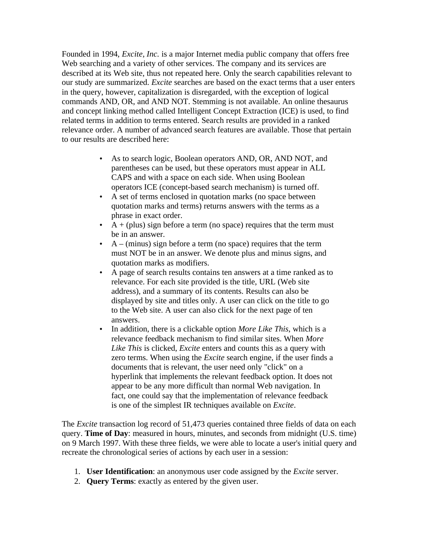Founded in 1994, *Excite, Inc.* is a major Internet media public company that offers free Web searching and a variety of other services. The company and its services are described at its Web site, thus not repeated here. Only the search capabilities relevant to our study are summarized. *Excite* searches are based on the exact terms that a user enters in the query, however, capitalization is disregarded, with the exception of logical commands AND, OR, and AND NOT. Stemming is not available. An online thesaurus and concept linking method called Intelligent Concept Extraction (ICE) is used, to find related terms in addition to terms entered. Search results are provided in a ranked relevance order. A number of advanced search features are available. Those that pertain to our results are described here:

- As to search logic, Boolean operators AND, OR, AND NOT, and parentheses can be used, but these operators must appear in ALL CAPS and with a space on each side. When using Boolean operators ICE (concept-based search mechanism) is turned off.
- A set of terms enclosed in quotation marks (no space between quotation marks and terms) returns answers with the terms as a phrase in exact order.
- $A + (plus)$  sign before a term (no space) requires that the term must be in an answer.
- $A (minus)$  sign before a term (no space) requires that the term must NOT be in an answer. We denote plus and minus signs, and quotation marks as modifiers.
- A page of search results contains ten answers at a time ranked as to relevance. For each site provided is the title, URL (Web site address), and a summary of its contents. Results can also be displayed by site and titles only. A user can click on the title to go to the Web site. A user can also click for the next page of ten answers.
- In addition, there is a clickable option *More Like This*, which is a relevance feedback mechanism to find similar sites. When *More Like This* is clicked, *Excite* enters and counts this as a query with zero terms. When using the *Excite* search engine, if the user finds a documents that is relevant, the user need only "click" on a hyperlink that implements the relevant feedback option. It does not appear to be any more difficult than normal Web navigation. In fact, one could say that the implementation of relevance feedback is one of the simplest IR techniques available on *Excite*.

The *Excite* transaction log record of 51,473 queries contained three fields of data on each query. **Time of Day**: measured in hours, minutes, and seconds from midnight (U.S. time) on 9 March 1997. With these three fields, we were able to locate a user's initial query and recreate the chronological series of actions by each user in a session:

- 1. **User Identification**: an anonymous user code assigned by the *Excite* server.
- 2. **Query Terms**: exactly as entered by the given user.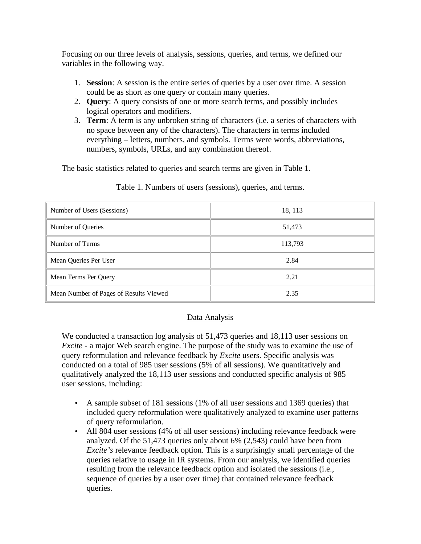Focusing on our three levels of analysis, sessions, queries, and terms, we defined our variables in the following way.

- 1. **Session**: A session is the entire series of queries by a user over time. A session could be as short as one query or contain many queries.
- 2. **Query**: A query consists of one or more search terms, and possibly includes logical operators and modifiers.
- 3. **Term**: A term is any unbroken string of characters (i.e. a series of characters with no space between any of the characters). The characters in terms included everything – letters, numbers, and symbols. Terms were words, abbreviations, numbers, symbols, URLs, and any combination thereof.

The basic statistics related to queries and search terms are given in Table 1.

| Number of Users (Sessions)             | 18, 113 |  |
|----------------------------------------|---------|--|
| Number of Queries                      | 51,473  |  |
| Number of Terms                        | 113,793 |  |
| Mean Queries Per User                  | 2.84    |  |
| Mean Terms Per Query                   | 2.21    |  |
| Mean Number of Pages of Results Viewed | 2.35    |  |

Table 1. Numbers of users (sessions), queries, and terms.

## Data Analysis

We conducted a transaction log analysis of 51,473 queries and 18,113 user sessions on *Excite -* a major Web search engine. The purpose of the study was to examine the use of query reformulation and relevance feedback by *Excite* users. Specific analysis was conducted on a total of 985 user sessions (5% of all sessions). We quantitatively and qualitatively analyzed the 18,113 user sessions and conducted specific analysis of 985 user sessions, including:

- A sample subset of 181 sessions (1% of all user sessions and 1369 queries) that included query reformulation were qualitatively analyzed to examine user patterns of query reformulation.
- All 804 user sessions (4% of all user sessions) including relevance feedback were analyzed. Of the 51,473 queries only about 6% (2,543) could have been from *Excite's* relevance feedback option. This is a surprisingly small percentage of the queries relative to usage in IR systems. From our analysis, we identified queries resulting from the relevance feedback option and isolated the sessions (i.e., sequence of queries by a user over time) that contained relevance feedback queries.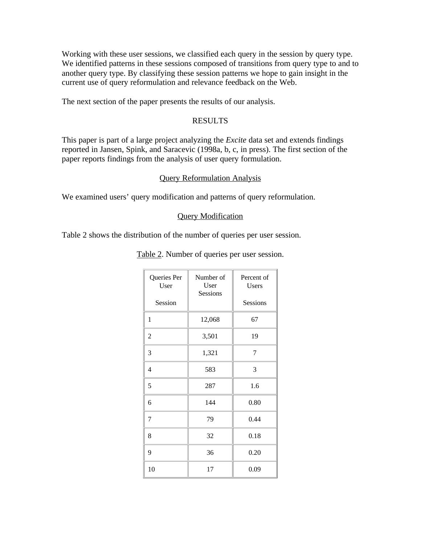Working with these user sessions, we classified each query in the session by query type. We identified patterns in these sessions composed of transitions from query type to and to another query type. By classifying these session patterns we hope to gain insight in the current use of query reformulation and relevance feedback on the Web.

The next section of the paper presents the results of our analysis.

### RESULTS

This paper is part of a large project analyzing the *Excite* data set and extends findings reported in Jansen, Spink, and Saracevic (1998a, b, c, in press). The first section of the paper reports findings from the analysis of user query formulation.

### Query Reformulation Analysis

We examined users' query modification and patterns of query reformulation.

### Query Modification

Table 2 shows the distribution of the number of queries per user session.

| Queries Per<br>User | Number of<br>User<br>Sessions | Percent of<br>Users |
|---------------------|-------------------------------|---------------------|
| Session             |                               | Sessions            |
| $\mathbf{1}$        | 12,068                        | 67                  |
| $\overline{c}$      | 3,501                         | 19                  |
| 3                   | 1,321                         | 7                   |
| 4                   | 583                           | 3                   |
| 5                   | 287                           | 1.6                 |
| 6                   | 144                           | 0.80                |
| $\overline{7}$      | 79                            | 0.44                |
| 8                   | 32                            | 0.18                |
| 9                   | 36                            | 0.20                |
| 10                  | 17                            | 0.09                |

Table 2. Number of queries per user session.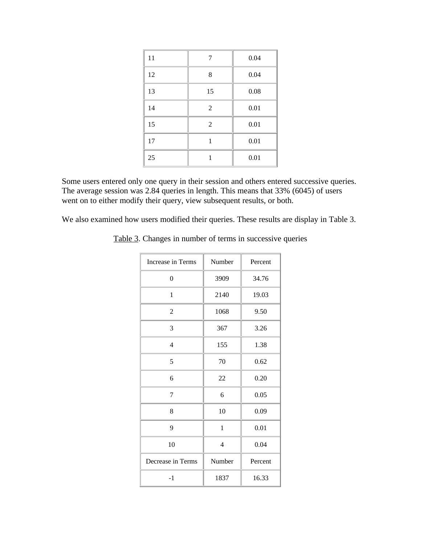| 11 | 7              | 0.04 |
|----|----------------|------|
| 12 | 8              | 0.04 |
| 13 | 15             | 0.08 |
| 14 | $\overline{2}$ | 0.01 |
| 15 | $\overline{2}$ | 0.01 |
| 17 | 1              | 0.01 |
| 25 |                | 0.01 |

Some users entered only one query in their session and others entered successive queries. The average session was 2.84 queries in length. This means that 33% (6045) of users went on to either modify their query, view subsequent results, or both.

We also examined how users modified their queries. These results are display in Table 3.

| Increase in Terms | Number                   | Percent |
|-------------------|--------------------------|---------|
| $\mathbf{0}$      | 3909                     | 34.76   |
| 1                 | 2140                     | 19.03   |
| $\overline{2}$    | 1068                     | 9.50    |
| 3                 | 367                      | 3.26    |
| 4                 | 155                      | 1.38    |
| 5                 | 70                       | 0.62    |
| 6                 | 22                       | 0.20    |
| 7                 | 6                        | 0.05    |
| 8                 | 10                       | 0.09    |
| 9                 | $\mathbf{1}$             | 0.01    |
| 10                | $\overline{\mathcal{L}}$ | 0.04    |
| Decrease in Terms | Number                   | Percent |
| $-1$              | 1837                     | 16.33   |

Table 3. Changes in number of terms in successive queries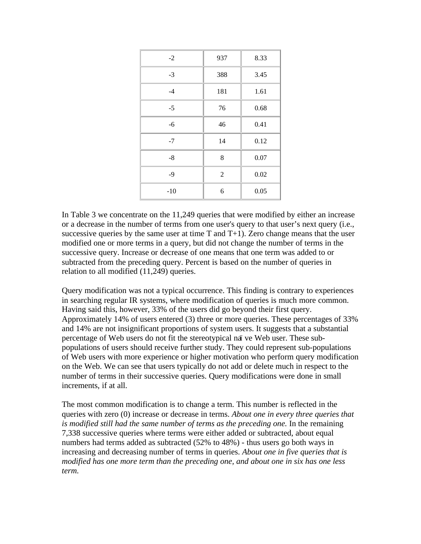| $-2$  | 937            | 8.33 |
|-------|----------------|------|
| $-3$  | 388            | 3.45 |
| $-4$  | 181            | 1.61 |
| $-5$  | 76             | 0.68 |
| -6    | 46             | 0.41 |
| $-7$  | 14             | 0.12 |
| $-8$  | 8              | 0.07 |
| $-9$  | $\overline{2}$ | 0.02 |
| $-10$ | 6              | 0.05 |

In Table 3 we concentrate on the 11,249 queries that were modified by either an increase or a decrease in the number of terms from one user's query to that user's next query (i.e., successive queries by the same user at time  $T$  and  $T+1$ ). Zero change means that the user modified one or more terms in a query, but did not change the number of terms in the successive query. Increase or decrease of one means that one term was added to or subtracted from the preceding query. Percent is based on the number of queries in relation to all modified (11,249) queries.

Query modification was not a typical occurrence. This finding is contrary to experiences in searching regular IR systems, where modification of queries is much more common. Having said this, however, 33% of the users did go beyond their first query. Approximately 14% of users entered (3) three or more queries. These percentages of 33% and 14% are not insignificant proportions of system users. It suggests that a substantial percentage of Web users do not fit the stereotypical naï ve Web user. These subpopulations of users should receive further study. They could represent sub-populations of Web users with more experience or higher motivation who perform query modification on the Web. We can see that users typically do not add or delete much in respect to the number of terms in their successive queries. Query modifications were done in small increments, if at all.

The most common modification is to change a term. This number is reflected in the queries with zero (0) increase or decrease in terms. *About one in every three queries that*  is modified still had the same number of terms as the preceding one. In the remaining 7,338 successive queries where terms were either added or subtracted, about equal numbers had terms added as subtracted (52% to 48%) - thus users go both ways in increasing and decreasing number of terms in queries. *About one in five queries that is modified has one more term than the preceding one, and about one in six has one less term.*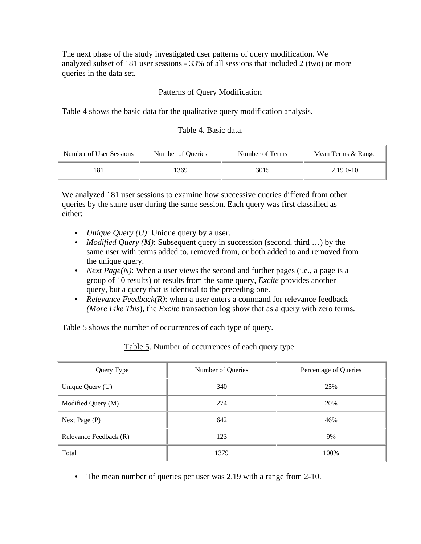The next phase of the study investigated user patterns of query modification. We analyzed subset of 181 user sessions - 33% of all sessions that included 2 (two) or more queries in the data set.

## Patterns of Query Modification

Table 4 shows the basic data for the qualitative query modification analysis.

## Table 4. Basic data.

| Number of User Sessions | Number of Oueries | Number of Terms | Mean Terms & Range |
|-------------------------|-------------------|-----------------|--------------------|
|                         | 1369              | 3015            | $2.190 - 10$       |

We analyzed 181 user sessions to examine how successive queries differed from other queries by the same user during the same session. Each query was first classified as either:

- *Unique Query (U)*: Unique query by a user.
- *Modified Query (M)*: Subsequent query in succession (second, third ...) by the same user with terms added to, removed from, or both added to and removed from the unique query.
- *Next Page(N)*: When a user views the second and further pages (i.e., a page is a group of 10 results) of results from the same query, *Excite* provides another query, but a query that is identical to the preceding one.
- *Relevance Feedback(R)*: when a user enters a command for relevance feedback *(More Like This*), the *Excite* transaction log show that as a query with zero terms.

Table 5 shows the number of occurrences of each type of query.

Query Type Number of Queries Percentage of Queries Unique Query (U)  $340$  340 25% Modified Query (M)  $274$  20% Next Page (P)  $642$   $46\%$ Relevance Feedback (R)  $123$  9%

Table 5. Number of occurrences of each query type.

• The mean number of queries per user was 2.19 with a range from 2-10.

Total 1379  $\parallel$  1379  $\parallel$  100%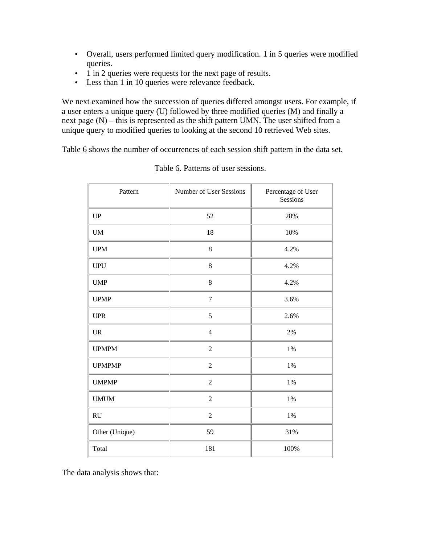- Overall, users performed limited query modification. 1 in 5 queries were modified queries.
- 1 in 2 queries were requests for the next page of results.
- Less than 1 in 10 queries were relevance feedback.

We next examined how the succession of queries differed amongst users. For example, if a user enters a unique query (U) followed by three modified queries (M) and finally a next page (N) – this is represented as the shift pattern UMN. The user shifted from a unique query to modified queries to looking at the second 10 retrieved Web sites.

Table 6 shows the number of occurrences of each session shift pattern in the data set.

| Pattern                           | Number of User Sessions | Percentage of User<br>Sessions |
|-----------------------------------|-------------------------|--------------------------------|
| $\mathbf{U}\mathbf{P}$            | 52                      | 28%                            |
| $\mathbf{U}\mathbf{M}$            | 18                      | 10%                            |
| <b>UPM</b>                        | $\bf 8$                 | 4.2%                           |
| <b>UPU</b>                        | $8\,$                   | 4.2%                           |
| <b>UMP</b>                        | $8\,$                   | 4.2%                           |
| <b>UPMP</b>                       | $\boldsymbol{7}$        | 3.6%                           |
| <b>UPR</b>                        | 5                       | 2.6%                           |
| $\ensuremath{\mathsf{UR}}\xspace$ | $\overline{4}$          | $2\%$                          |
| <b>UPMPM</b>                      | $\overline{2}$          | $1\%$                          |
| <b>UPMPMP</b>                     | $\overline{2}$          | $1\%$                          |
| <b>UMPMP</b>                      | $\overline{2}$          | $1\%$                          |
| <b>UMUM</b>                       | $\overline{2}$          | $1\%$                          |
| RU                                | $\overline{2}$          | $1\%$                          |
| Other (Unique)                    | 59                      | 31%                            |
| Total                             | 181                     | 100%                           |

Table 6. Patterns of user sessions.

The data analysis shows that: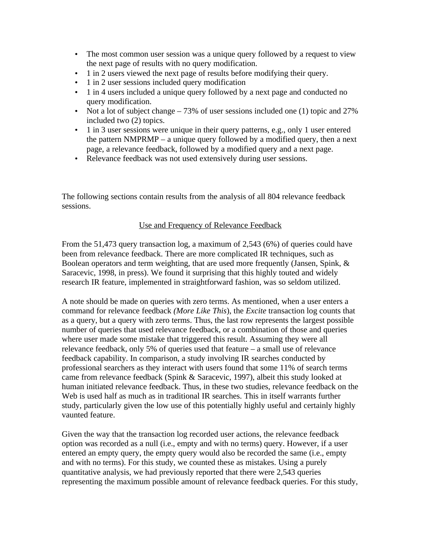- The most common user session was a unique query followed by a request to view the next page of results with no query modification.
- 1 in 2 users viewed the next page of results before modifying their query.
- 1 in 2 user sessions included query modification
- 1 in 4 users included a unique query followed by a next page and conducted no query modification.
- Not a lot of subject change  $-73\%$  of user sessions included one (1) topic and 27% included two (2) topics.
- 1 in 3 user sessions were unique in their query patterns, e.g., only 1 user entered the pattern NMPRMP – a unique query followed by a modified query, then a next page, a relevance feedback, followed by a modified query and a next page.
- Relevance feedback was not used extensively during user sessions.

The following sections contain results from the analysis of all 804 relevance feedback sessions.

## Use and Frequency of Relevance Feedback

From the 51,473 query transaction log, a maximum of 2,543 (6%) of queries could have been from relevance feedback. There are more complicated IR techniques, such as Boolean operators and term weighting, that are used more frequently (Jansen, Spink, & Saracevic, 1998, in press). We found it surprising that this highly touted and widely research IR feature, implemented in straightforward fashion, was so seldom utilized.

A note should be made on queries with zero terms. As mentioned, when a user enters a command for relevance feedback *(More Like This*), the *Excite* transaction log counts that as a query, but a query with zero terms. Thus, the last row represents the largest possible number of queries that used relevance feedback, or a combination of those and queries where user made some mistake that triggered this result. Assuming they were all relevance feedback, only 5% of queries used that feature – a small use of relevance feedback capability. In comparison, a study involving IR searches conducted by professional searchers as they interact with users found that some 11% of search terms came from relevance feedback (Spink & Saracevic, 1997), albeit this study looked at human initiated relevance feedback. Thus, in these two studies, relevance feedback on the Web is used half as much as in traditional IR searches. This in itself warrants further study, particularly given the low use of this potentially highly useful and certainly highly vaunted feature.

Given the way that the transaction log recorded user actions, the relevance feedback option was recorded as a null (i.e., empty and with no terms) query. However, if a user entered an empty query, the empty query would also be recorded the same (i.e., empty and with no terms). For this study, we counted these as mistakes. Using a purely quantitative analysis, we had previously reported that there were 2,543 queries representing the maximum possible amount of relevance feedback queries. For this study,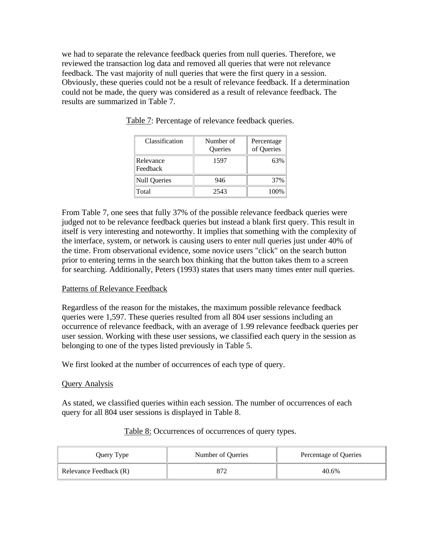we had to separate the relevance feedback queries from null queries. Therefore, we reviewed the transaction log data and removed all queries that were not relevance feedback. The vast majority of null queries that were the first query in a session. Obviously, these queries could not be a result of relevance feedback. If a determination could not be made, the query was considered as a result of relevance feedback. The results are summarized in Table 7.

| Classification        | Number of<br>Queries | Percentage<br>of Queries |
|-----------------------|----------------------|--------------------------|
| Relevance<br>Feedback | 1597                 | 63%                      |
| <b>Null Queries</b>   | 946                  | 37%                      |
| Total                 | 2543                 | 100%                     |

Table 7: Percentage of relevance feedback queries.

From Table 7, one sees that fully 37% of the possible relevance feedback queries were judged not to be relevance feedback queries but instead a blank first query. This result in itself is very interesting and noteworthy. It implies that something with the complexity of the interface, system, or network is causing users to enter null queries just under 40% of the time. From observational evidence, some novice users "click" on the search button prior to entering terms in the search box thinking that the button takes them to a screen for searching. Additionally, Peters (1993) states that users many times enter null queries.

#### Patterns of Relevance Feedback

Regardless of the reason for the mistakes, the maximum possible relevance feedback queries were 1,597. These queries resulted from all 804 user sessions including an occurrence of relevance feedback, with an average of 1.99 relevance feedback queries per user session. Working with these user sessions, we classified each query in the session as belonging to one of the types listed previously in Table 5.

We first looked at the number of occurrences of each type of query.

### Query Analysis

As stated, we classified queries within each session. The number of occurrences of each query for all 804 user sessions is displayed in Table 8.

| Query Type             | Number of Queries | Percentage of Queries |
|------------------------|-------------------|-----------------------|
| Relevance Feedback (R) |                   | 40.6%                 |

#### Table 8: Occurrences of occurrences of query types.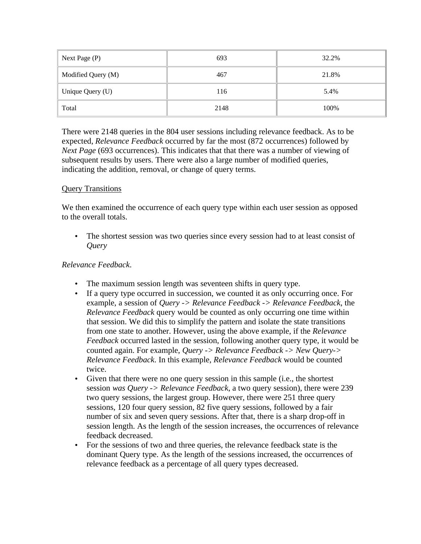| Next Page (P)      | 693  | 32.2% |
|--------------------|------|-------|
| Modified Query (M) | 467  | 21.8% |
| Unique Query (U)   | 116  | 5.4%  |
| Total              | 2148 | 100%  |

There were 2148 queries in the 804 user sessions including relevance feedback. As to be expected, *Relevance Feedback* occurred by far the most (872 occurrences) followed by *Next Page* (693 occurrences). This indicates that that there was a number of viewing of subsequent results by users. There were also a large number of modified queries, indicating the addition, removal, or change of query terms.

## Query Transitions

We then examined the occurrence of each query type within each user session as opposed to the overall totals.

• The shortest session was two queries since every session had to at least consist of *Query* 

## *Relevance Feedback*.

- The maximum session length was seventeen shifts in query type.
- If a query type occurred in succession, we counted it as only occurring once. For example, a session of *Query -> Relevance Feedback -> Relevance Feedback*, the *Relevance Feedback* query would be counted as only occurring one time within that session. We did this to simplify the pattern and isolate the state transitions from one state to another. However, using the above example, if the *Relevance Feedback* occurred lasted in the session, following another query type, it would be counted again. For example, *Query -> Relevance Feedback -> New Query-> Relevance Feedback*. In this example, *Relevance Feedback* would be counted twice.
- Given that there were no one query session in this sample (i.e., the shortest session *was Query -> Relevance Feedback*, a two query session), there were 239 two query sessions, the largest group. However, there were 251 three query sessions, 120 four query session, 82 five query sessions, followed by a fair number of six and seven query sessions. After that, there is a sharp drop-off in session length. As the length of the session increases, the occurrences of relevance feedback decreased.
- For the sessions of two and three queries, the relevance feedback state is the dominant Query type. As the length of the sessions increased, the occurrences of relevance feedback as a percentage of all query types decreased.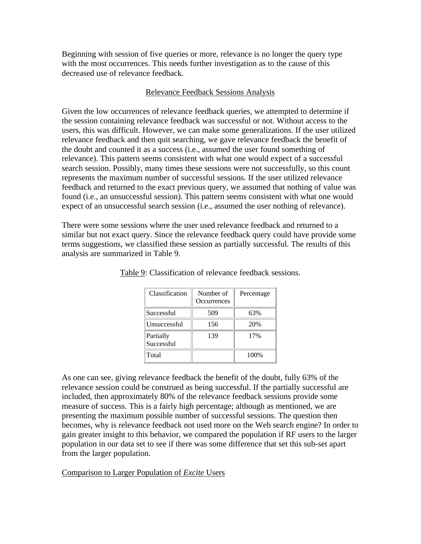Beginning with session of five queries or more, relevance is no longer the query type with the most occurrences. This needs further investigation as to the cause of this decreased use of relevance feedback.

### Relevance Feedback Sessions Analysis

Given the low occurrences of relevance feedback queries, we attempted to determine if the session containing relevance feedback was successful or not. Without access to the users, this was difficult. However, we can make some generalizations. If the user utilized relevance feedback and then quit searching, we gave relevance feedback the benefit of the doubt and counted it as a success (i.e., assumed the user found something of relevance). This pattern seems consistent with what one would expect of a successful search session. Possibly, many times these sessions were not successfully, so this count represents the maximum number of successful sessions. If the user utilized relevance feedback and returned to the exact previous query, we assumed that nothing of value was found (i.e., an unsuccessful session). This pattern seems consistent with what one would expect of an unsuccessful search session (i.e., assumed the user nothing of relevance).

There were some sessions where the user used relevance feedback and returned to a similar but not exact query. Since the relevance feedback query could have provide some terms suggestions, we classified these session as partially successful. The results of this analysis are summarized in Table 9.

| Classification          | Number of<br>Occurrences | Percentage |
|-------------------------|--------------------------|------------|
| Successful              | 509                      | 63%        |
| Unsuccessful            | 156                      | 20%        |
| Partially<br>Successful | 139                      | 17%        |
| Total                   |                          | 100%       |

Table 9: Classification of relevance feedback sessions.

As one can see, giving relevance feedback the benefit of the doubt, fully 63% of the relevance session could be construed as being successful. If the partially successful are included, then approximately 80% of the relevance feedback sessions provide some measure of success. This is a fairly high percentage; although as mentioned, we are presenting the maximum possible number of successful sessions. The question then becomes, why is relevance feedback not used more on the Web search engine? In order to gain greater insight to this behavior, we compared the population if RF users to the larger population in our data set to see if there was some difference that set this sub-set apart from the larger population.

### Comparison to Larger Population of *Excite* Users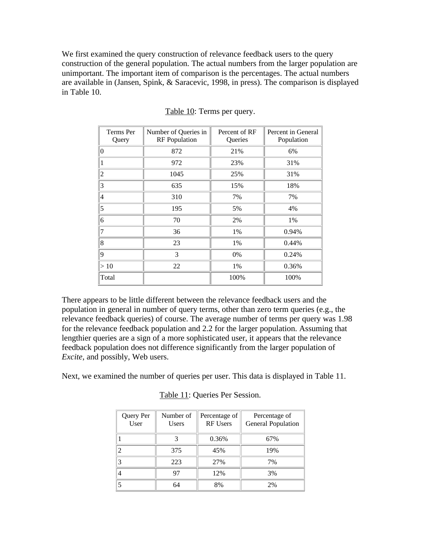We first examined the query construction of relevance feedback users to the query construction of the general population. The actual numbers from the larger population are unimportant. The important item of comparison is the percentages. The actual numbers are available in (Jansen, Spink, & Saracevic, 1998, in press). The comparison is displayed in Table 10.

| Terms Per<br>Query | Number of Queries in<br><b>RF</b> Population | Percent of RF<br>Queries | Percent in General<br>Population |
|--------------------|----------------------------------------------|--------------------------|----------------------------------|
| $\mathbf{0}$       | 872                                          | 21%                      | 6%                               |
|                    | 972                                          | 23%                      | 31%                              |
| 2                  | 1045                                         | 25%                      | 31%                              |
| 3                  | 635                                          | 15%                      | 18%                              |
| $\overline{4}$     | 310                                          | 7%                       | 7%                               |
| 5                  | 195                                          | 5%                       | 4%                               |
| 6                  | 70                                           | 2%                       | 1%                               |
| 7                  | 36                                           | 1%                       | 0.94%                            |
| 8                  | 23                                           | 1%                       | 0.44%                            |
| 9                  | 3                                            | 0%                       | 0.24%                            |
| >10                | 22                                           | 1%                       | 0.36%                            |
| Total              |                                              | 100%                     | 100%                             |

### Table 10: Terms per query.

There appears to be little different between the relevance feedback users and the population in general in number of query terms, other than zero term queries (e.g., the relevance feedback queries) of course. The average number of terms per query was 1.98 for the relevance feedback population and 2.2 for the larger population. Assuming that lengthier queries are a sign of a more sophisticated user, it appears that the relevance feedback population does not difference significantly from the larger population of *Excite*, and possibly, Web users.

Next, we examined the number of queries per user. This data is displayed in Table 11.

| Query Per<br>User | Number of<br><b>Users</b> | Percentage of<br><b>RF Users</b> | Percentage of<br>General Population |
|-------------------|---------------------------|----------------------------------|-------------------------------------|
|                   |                           | 0.36%                            | 67%                                 |
|                   | 375                       | 45%                              | 19%                                 |
|                   | 223                       | 27%                              | 7%                                  |
| 4                 | 97                        | 12%                              | 3%                                  |
|                   | 64                        | 8%                               | 2%                                  |

Table 11: Queries Per Session.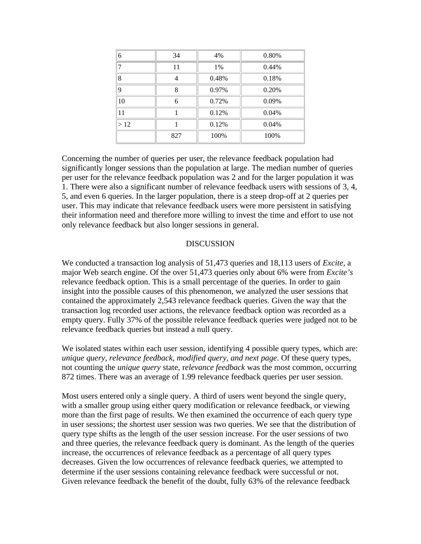| 6           | 34  | 4%    | 0.80% |
|-------------|-----|-------|-------|
|             | 11  | 1%    | 0.44% |
| 8           | 4   | 0.48% | 0.18% |
| $\mathbf Q$ | 8   | 0.97% | 0.20% |
| 10          | 6   | 0.72% | 0.09% |
| 11          |     | 0.12% | 0.04% |
| >12         |     | 0.12% | 0.04% |
|             | 827 | 100%  | 100%  |

Concerning the number of queries per user, the relevance feedback population had significantly longer sessions than the population at large. The median number of queries per user for the relevance feedback population was 2 and for the larger population it was 1. There were also a significant number of relevance feedback users with sessions of 3, 4, 5, and even 6 queries. In the larger population, there is a steep drop-off at 2 queries per user. This may indicate that relevance feedback users were more persistent in satisfying their information need and therefore more willing to invest the time and effort to use not only relevance feedback but also longer sessions in general.

### DISCUSSION

We conducted a transaction log analysis of 51,473 queries and 18,113 users of *Excite*, a major Web search engine. Of the over 51,473 queries only about 6% were from *Excite's* relevance feedback option. This is a small percentage of the queries. In order to gain insight into the possible causes of this phenomenon, we analyzed the user sessions that contained the approximately 2,543 relevance feedback queries. Given the way that the transaction log recorded user actions, the relevance feedback option was recorded as a empty query. Fully 37% of the possible relevance feedback queries were judged not to be relevance feedback queries but instead a null query.

We isolated states within each user session, identifying 4 possible query types, which are: *unique query, relevance feedback, modified query, and next page*. Of these query types, not counting the *unique query* state, r*elevance feedback* was the most common, occurring 872 times. There was an average of 1.99 relevance feedback queries per user session.

Most users entered only a single query. A third of users went beyond the single query, with a smaller group using either query modification or relevance feedback, or viewing more than the first page of results. We then examined the occurrence of each query type in user sessions; the shortest user session was two queries. We see that the distribution of query type shifts as the length of the user session increase. For the user sessions of two and three queries, the relevance feedback query is dominant. As the length of the queries increase, the occurrences of relevance feedback as a percentage of all query types decreases. Given the low occurrences of relevance feedback queries, we attempted to determine if the user sessions containing relevance feedback were successful or not. Given relevance feedback the benefit of the doubt, fully 63% of the relevance feedback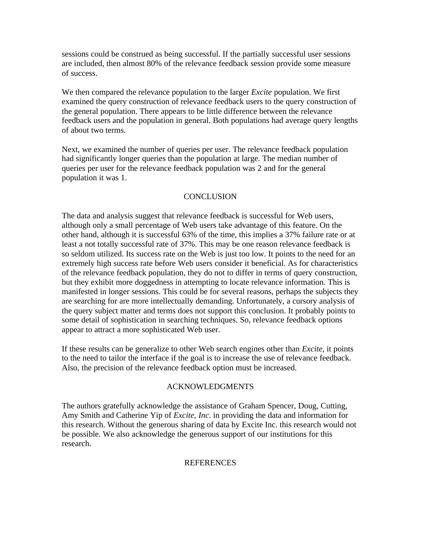sessions could be construed as being successful. If the partially successful user sessions are included, then almost 80% of the relevance feedback session provide some measure of success.

We then compared the relevance population to the larger *Excite* population. We first examined the query construction of relevance feedback users to the query construction of the general population. There appears to be little difference between the relevance feedback users and the population in general. Both populations had average query lengths of about two terms.

Next, we examined the number of queries per user. The relevance feedback population had significantly longer queries than the population at large. The median number of queries per user for the relevance feedback population was 2 and for the general population it was 1.

## **CONCLUSION**

The data and analysis suggest that relevance feedback is successful for Web users, although only a small percentage of Web users take advantage of this feature. On the other hand, although it is successful 63% of the time, this implies a 37% failure rate or at least a not totally successful rate of 37%. This may be one reason relevance feedback is so seldom utilized. Its success rate on the Web is just too low. It points to the need for an extremely high success rate before Web users consider it beneficial. As for characteristics of the relevance feedback population, they do not to differ in terms of query construction, but they exhibit more doggedness in attempting to locate relevance information. This is manifested in longer sessions. This could be for several reasons, perhaps the subjects they are searching for are more intellectually demanding. Unfortunately, a cursory analysis of the query subject matter and terms does not support this conclusion. It probably points to some detail of sophistication in searching techniques. So, relevance feedback options appear to attract a more sophisticated Web user.

If these results can be generalize to other Web search engines other than *Excite*, it points to the need to tailor the interface if the goal is to increase the use of relevance feedback. Also, the precision of the relevance feedback option must be increased.

## ACKNOWLEDGMENTS

The authors gratefully acknowledge the assistance of Graham Spencer, Doug, Cutting, Amy Smith and Catherine Yip of *Excite, Inc*. in providing the data and information for this research. Without the generous sharing of data by Excite Inc. this research would not be possible. We also acknowledge the generous support of our institutions for this research.

### REFERENCES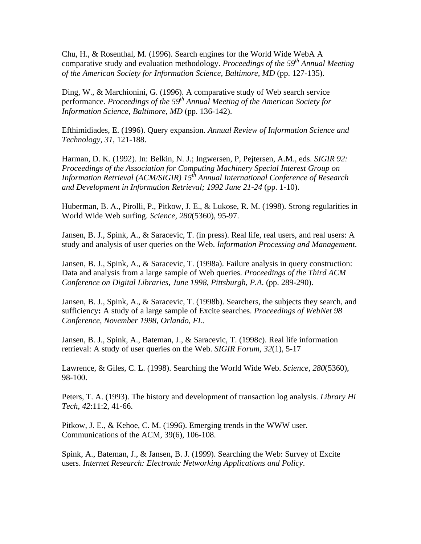Chu, H., & Rosenthal, M. (1996). Search engines for the World Wide WebA A comparative study and evaluation methodology. *Proceedings of the 59th Annual Meeting of the American Society for Information Science, Baltimore, MD* (pp. 127-135).

Ding, W., & Marchionini, G. (1996). A comparative study of Web search service performance. *Proceedings of the 59th Annual Meeting of the American Society for Information Science, Baltimore, MD* (pp. 136-142).

Efthimidiades, E. (1996). Query expansion. *Annual Review of Information Science and Technology, 31*, 121-188.

Harman, D. K. (1992). In: Belkin, N. J.; Ingwersen, P, Pejtersen, A.M., eds. *SIGIR 92: Proceedings of the Association for Computing Machinery Special Interest Group on Information Retrieval (ACM/SIGIR) 15th Annual International Conference of Research and Development in Information Retrieval; 1992 June 21-24* (pp. 1-10).

Huberman, B. A., Pirolli, P., Pitkow, J. E., & Lukose, R. M. (1998). Strong regularities in World Wide Web surfing. *Science, 280*(5360), 95-97.

Jansen, B. J., Spink, A., & Saracevic, T. (in press). Real life, real users, and real users: A study and analysis of user queries on the Web. *Information Processing and Management*.

Jansen, B. J., Spink, A., & Saracevic, T. (1998a). Failure analysis in query construction: Data and analysis from a large sample of Web queries. *Proceedings of the Third ACM Conference on Digital Libraries, June 1998, Pittsburgh, P.A.* (pp. 289-290).

Jansen, B. J., Spink, A., & Saracevic, T. (1998b). Searchers, the subjects they search, and sufficiency**:** A study of a large sample of Excite searches. *Proceedings of WebNet 98 Conference, November 1998, Orlando, FL.*

Jansen, B. J., Spink, A., Bateman, J., & Saracevic, T. (1998c). Real life information retrieval: A study of user queries on the Web. *SIGIR Forum*, *32*(1), 5-17

Lawrence, & Giles, C. L. (1998). Searching the World Wide Web. *Science, 280*(5360), 98-100.

Peters, T. A. (1993). The history and development of transaction log analysis. *Library Hi Tech*, *42*:11:2, 41-66.

Pitkow, J. E., & Kehoe, C. M. (1996). Emerging trends in the WWW user. Communications of the ACM, 39(6), 106-108.

Spink, A., Bateman, J., & Jansen, B. J. (1999). Searching the Web: Survey of Excite users. *Internet Research: Electronic Networking Applications and Policy*.